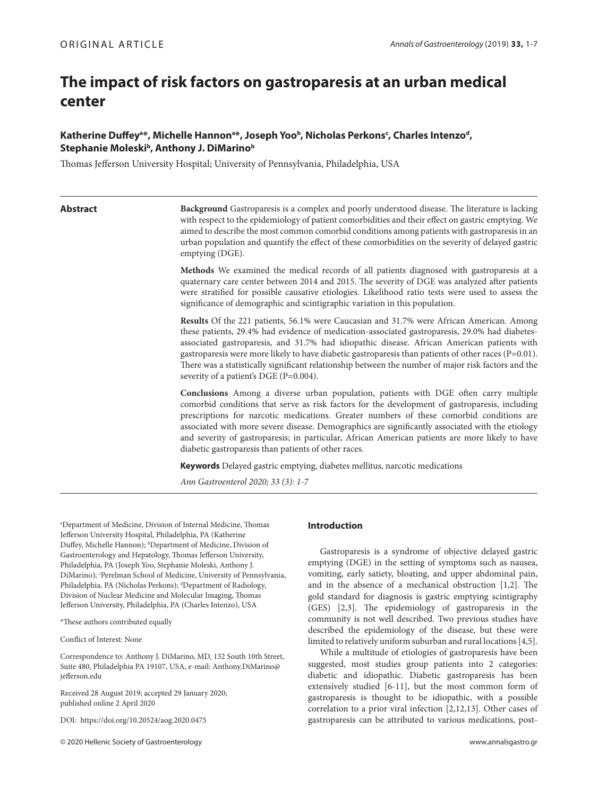# **The impact of risk factors on gastroparesis at an urban medical center**

## Katherine Duffey<sup>a\*</sup>, Michelle Hannon<sup>a\*</sup>, Joseph Yoo<sup>b</sup>, Nicholas Perkons<sup>c</sup>, Charles Intenzo<sup>d</sup>, **Stephanie Moleskib , Anthony J. DiMarinob**

Thomas Jefferson University Hospital; University of Pennsylvania, Philadelphia, USA

**Abstract Background** Gastroparesis is a complex and poorly understood disease. The literature is lacking with respect to the epidemiology of patient comorbidities and their effect on gastric emptying. We aimed to describe the most common comorbid conditions among patients with gastroparesis in an urban population and quantify the effect of these comorbidities on the severity of delayed gastric emptying (DGE).

> **Methods** We examined the medical records of all patients diagnosed with gastroparesis at a quaternary care center between 2014 and 2015. The severity of DGE was analyzed after patients were stratified for possible causative etiologies. Likelihood ratio tests were used to assess the significance of demographic and scintigraphic variation in this population.

> **Results** Of the 221 patients, 56.1% were Caucasian and 31.7% were African American. Among these patients, 29.4% had evidence of medication-associated gastroparesis, 29.0% had diabetesassociated gastroparesis, and 31.7% had idiopathic disease. African American patients with gastroparesis were more likely to have diabetic gastroparesis than patients of other races (P=0.01). There was a statistically significant relationship between the number of major risk factors and the severity of a patient's DGE (P=0.004).

> **Conclusions** Among a diverse urban population, patients with DGE often carry multiple comorbid conditions that serve as risk factors for the development of gastroparesis, including prescriptions for narcotic medications. Greater numbers of these comorbid conditions are associated with more severe disease. Demographics are significantly associated with the etiology and severity of gastroparesis; in particular, African American patients are more likely to have diabetic gastroparesis than patients of other races.

**Keywords** Delayed gastric emptying, diabetes mellitus, narcotic medications

*Ann Gastroenterol 2020; 33 (3): 1-7*

a Department of Medicine, Division of Internal Medicine, Thomas Jefferson University Hospital, Philadelphia, PA (Katherine Duffey, Michelle Hannon); <sup>b</sup>Department of Medicine, Division of Gastroenterology and Hepatology, Thomas Jefferson University, Philadelphia, PA (Joseph Yoo, Stephanie Moleski, Anthony J. DiMarino); 'Perelman School of Medicine, University of Pennsylvania, Philadelphia, PA (Nicholas Perkons); <sup>d</sup>Department of Radiology, Division of Nuclear Medicine and Molecular Imaging, Thomas Jefferson University, Philadelphia, PA (Charles Intenzo), USA

\*These authors contributed equally

Conflict of Interest: None

Correspondence to: Anthony J. DiMarino, MD, 132 South 10th Street, Suite 480, Philadelphia PA 19107, USA, e-mail: Anthony.DiMarino@ jefferson.edu

Received 28 August 2019; accepted 29 January 2020; published online 2 April 2020

DOI: https://doi.org/10.20524/aog.2020.0475

© 2020 Hellenic Society of Gastroenterology www.annalsgastro.gr

#### **Introduction**

Gastroparesis is a syndrome of objective delayed gastric emptying (DGE) in the setting of symptoms such as nausea, vomiting, early satiety, bloating, and upper abdominal pain, and in the absence of a mechanical obstruction [1,2]. The gold standard for diagnosis is gastric emptying scintigraphy (GES) [2,3]. The epidemiology of gastroparesis in the community is not well described. Two previous studies have described the epidemiology of the disease, but these were limited to relatively uniform suburban and rural locations [4,5].

While a multitude of etiologies of gastroparesis have been suggested, most studies group patients into 2 categories: diabetic and idiopathic. Diabetic gastroparesis has been extensively studied [6-11], but the most common form of gastroparesis is thought to be idiopathic, with a possible correlation to a prior viral infection [2,12,13]. Other cases of gastroparesis can be attributed to various medications, post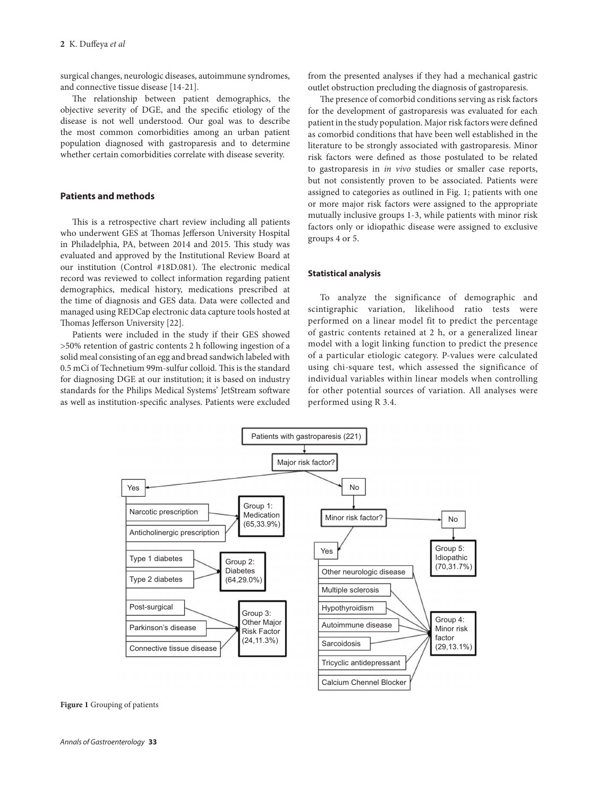surgical changes, neurologic diseases, autoimmune syndromes, and connective tissue disease [14-21].

The relationship between patient demographics, the objective severity of DGE, and the specific etiology of the disease is not well understood. Our goal was to describe the most common comorbidities among an urban patient population diagnosed with gastroparesis and to determine whether certain comorbidities correlate with disease severity.

#### **Patients and methods**

This is a retrospective chart review including all patients who underwent GES at Thomas Jefferson University Hospital in Philadelphia, PA, between 2014 and 2015. This study was evaluated and approved by the Institutional Review Board at our institution (Control #18D.081). The electronic medical record was reviewed to collect information regarding patient demographics, medical history, medications prescribed at the time of diagnosis and GES data. Data were collected and managed using REDCap electronic data capture tools hosted at Thomas Jefferson University [22].

Patients were included in the study if their GES showed >50% retention of gastric contents 2 h following ingestion of a solid meal consisting of an egg and bread sandwich labeled with 0.5 mCi of Technetium 99m-sulfur colloid. This is the standard for diagnosing DGE at our institution; it is based on industry standards for the Philips Medical Systems' JetStream software as well as institution-specific analyses. Patients were excluded

from the presented analyses if they had a mechanical gastric outlet obstruction precluding the diagnosis of gastroparesis.

The presence of comorbid conditions serving as risk factors for the development of gastroparesis was evaluated for each patient in the study population. Major risk factors were defined as comorbid conditions that have been well established in the literature to be strongly associated with gastroparesis. Minor risk factors were defined as those postulated to be related to gastroparesis in *in vivo* studies or smaller case reports, but not consistently proven to be associated. Patients were assigned to categories as outlined in Fig. 1; patients with one or more major risk factors were assigned to the appropriate mutually inclusive groups 1-3, while patients with minor risk factors only or idiopathic disease were assigned to exclusive groups 4 or 5.

#### **Statistical analysis**

To analyze the significance of demographic and scintigraphic variation, likelihood ratio tests were performed on a linear model fit to predict the percentage of gastric contents retained at 2 h, or a generalized linear model with a logit linking function to predict the presence of a particular etiologic category. P-values were calculated using chi-square test, which assessed the significance of individual variables within linear models when controlling for other potential sources of variation. All analyses were performed using R 3.4.



#### **Figure 1** Grouping of patients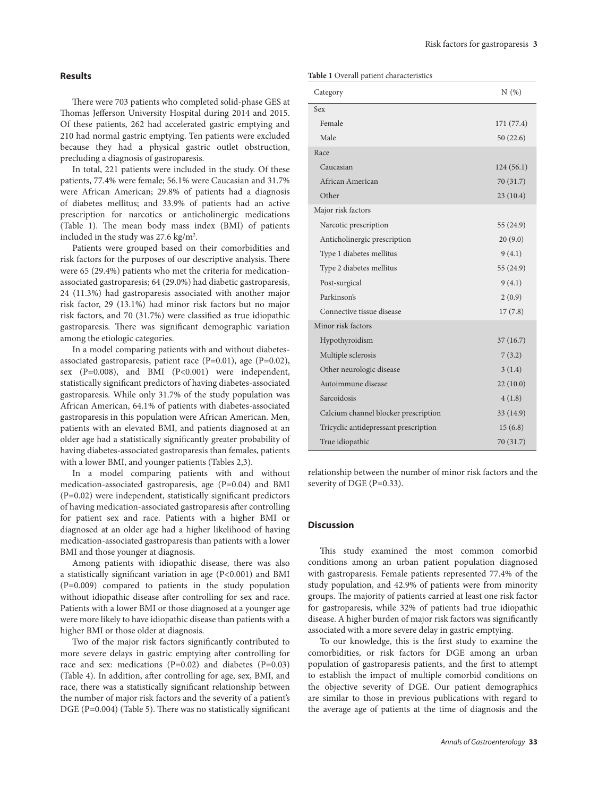#### **Results**

There were 703 patients who completed solid-phase GES at Thomas Jefferson University Hospital during 2014 and 2015. Of these patients, 262 had accelerated gastric emptying and 210 had normal gastric emptying. Ten patients were excluded because they had a physical gastric outlet obstruction, precluding a diagnosis of gastroparesis.

In total, 221 patients were included in the study. Of these patients, 77.4% were female; 56.1% were Caucasian and 31.7% were African American; 29.8% of patients had a diagnosis of diabetes mellitus; and 33.9% of patients had an active prescription for narcotics or anticholinergic medications (Table 1). The mean body mass index (BMI) of patients included in the study was  $27.6 \text{ kg/m}^2$ .

Patients were grouped based on their comorbidities and risk factors for the purposes of our descriptive analysis. There were 65 (29.4%) patients who met the criteria for medicationassociated gastroparesis; 64 (29.0%) had diabetic gastroparesis, 24 (11.3%) had gastroparesis associated with another major risk factor, 29 (13.1%) had minor risk factors but no major risk factors, and 70 (31.7%) were classified as true idiopathic gastroparesis. There was significant demographic variation among the etiologic categories.

In a model comparing patients with and without diabetesassociated gastroparesis, patient race  $(P=0.01)$ , age  $(P=0.02)$ , sex (P=0.008), and BMI (P<0.001) were independent, statistically significant predictors of having diabetes-associated gastroparesis. While only 31.7% of the study population was African American, 64.1% of patients with diabetes-associated gastroparesis in this population were African American. Men, patients with an elevated BMI, and patients diagnosed at an older age had a statistically significantly greater probability of having diabetes-associated gastroparesis than females, patients with a lower BMI, and younger patients (Tables 2,3).

In a model comparing patients with and without medication-associated gastroparesis, age (P=0.04) and BMI (P=0.02) were independent, statistically significant predictors of having medication-associated gastroparesis after controlling for patient sex and race. Patients with a higher BMI or diagnosed at an older age had a higher likelihood of having medication-associated gastroparesis than patients with a lower BMI and those younger at diagnosis.

Among patients with idiopathic disease, there was also a statistically significant variation in age (P<0.001) and BMI (P=0.009) compared to patients in the study population without idiopathic disease after controlling for sex and race. Patients with a lower BMI or those diagnosed at a younger age were more likely to have idiopathic disease than patients with a higher BMI or those older at diagnosis.

Two of the major risk factors significantly contributed to more severe delays in gastric emptying after controlling for race and sex: medications (P=0.02) and diabetes (P=0.03) (Table 4). In addition, after controlling for age, sex, BMI, and race, there was a statistically significant relationship between the number of major risk factors and the severity of a patient's DGE (P=0.004) (Table 5). There was no statistically significant

#### **Table 1** Overall patient characteristics

| Category                              | N(%)       |
|---------------------------------------|------------|
| Sex                                   |            |
| Female                                | 171 (77.4) |
| Male                                  | 50(22.6)   |
| Race                                  |            |
| Caucasian                             | 124(56.1)  |
| African American                      | 70 (31.7)  |
| Other                                 | 23(10.4)   |
| Major risk factors                    |            |
| Narcotic prescription                 | 55 (24.9)  |
| Anticholinergic prescription          | 20(9.0)    |
| 9(4.1)<br>Type 1 diabetes mellitus    |            |
| Type 2 diabetes mellitus<br>55 (24.9) |            |
| 9(4.1)<br>Post-surgical               |            |
| Parkinson's                           | 2(0.9)     |
| Connective tissue disease             | 17(7.8)    |
| Minor risk factors                    |            |
| Hypothyroidism                        | 37(16.7)   |
| Multiple sclerosis                    | 7(3.2)     |
| 3(1.4)<br>Other neurologic disease    |            |
| Autoimmune disease<br>22(10.0)        |            |
| Sarcoidosis                           | 4(1.8)     |
| Calcium channel blocker prescription  | 33 (14.9)  |
| Tricyclic antidepressant prescription | 15(6.8)    |
| True idiopathic                       | 70 (31.7)  |

relationship between the number of minor risk factors and the severity of DGE (P=0.33).

#### **Discussion**

This study examined the most common comorbid conditions among an urban patient population diagnosed with gastroparesis. Female patients represented 77.4% of the study population, and 42.9% of patients were from minority groups. The majority of patients carried at least one risk factor for gastroparesis, while 32% of patients had true idiopathic disease. A higher burden of major risk factors was significantly associated with a more severe delay in gastric emptying.

To our knowledge, this is the first study to examine the comorbidities, or risk factors for DGE among an urban population of gastroparesis patients, and the first to attempt to establish the impact of multiple comorbid conditions on the objective severity of DGE. Our patient demographics are similar to those in previous publications with regard to the average age of patients at the time of diagnosis and the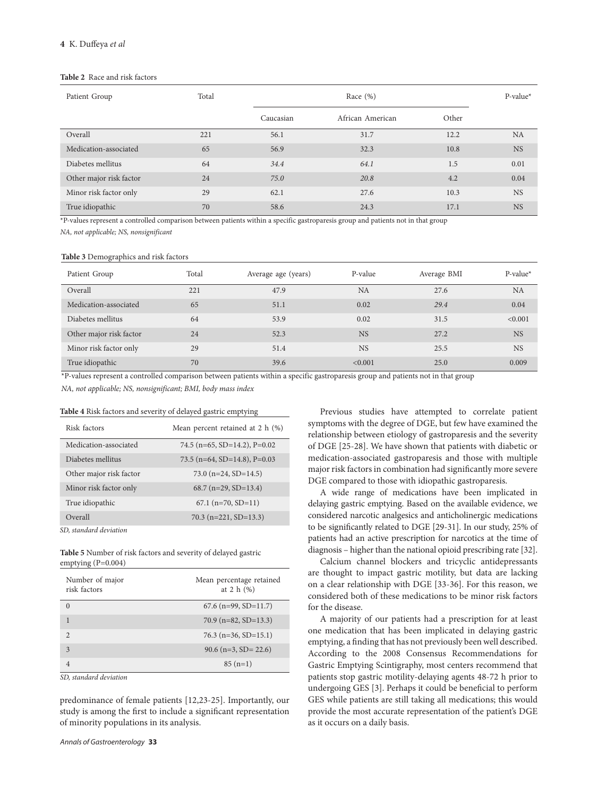#### **Table 2** Race and risk factors

| Patient Group           | Total | Race $(\%)$ |                  |       | $P-value*$ |
|-------------------------|-------|-------------|------------------|-------|------------|
|                         |       | Caucasian   | African American | Other |            |
| Overall                 | 221   | 56.1        | 31.7             | 12.2  | <b>NA</b>  |
| Medication-associated   | 65    | 56.9        | 32.3             | 10.8  | <b>NS</b>  |
| Diabetes mellitus       | 64    | 34.4        | 64.1             | 1.5   | 0.01       |
| Other major risk factor | 24    | 75.0        | 20.8             | 4.2   | 0.04       |
| Minor risk factor only  | 29    | 62.1        | 27.6             | 10.3  | <b>NS</b>  |
| True idiopathic         | 70    | 58.6        | 24.3             | 17.1  | <b>NS</b>  |

\*P-values represent a controlled comparison between patients within a specific gastroparesis group and patients not in that group

*NA, not applicable; NS, nonsignificant*

#### **Table 3** Demographics and risk factors

| Patient Group           | Total | Average age (years) | P-value   | Average BMI | $P-value*$ |
|-------------------------|-------|---------------------|-----------|-------------|------------|
| Overall                 | 221   | 47.9                | <b>NA</b> | 27.6        | <b>NA</b>  |
| Medication-associated   | 65    | 51.1                | 0.02      | 29.4        | 0.04       |
| Diabetes mellitus       | 64    | 53.9                | 0.02      | 31.5        | < 0.001    |
| Other major risk factor | 24    | 52.3                | <b>NS</b> | 27.2        | <b>NS</b>  |
| Minor risk factor only  | 29    | 51.4                | <b>NS</b> | 25.5        | <b>NS</b>  |
| True idiopathic         | 70    | 39.6                | < 0.001   | 25.0        | 0.009      |

\*P-values represent a controlled comparison between patients within a specific gastroparesis group and patients not in that group

*NA, not applicable; NS, nonsignificant; BMI, body mass index*

#### **Table 4** Risk factors and severity of delayed gastric emptying

| Risk factors               | Mean percent retained at 2 h (%) |
|----------------------------|----------------------------------|
| Medication-associated      | 74.5 (n=65, SD=14.2), P=0.02     |
| Diabetes mellitus          | 73.5 (n=64, SD=14.8), P=0.03     |
| Other major risk factor    | 73.0 ( $n=24$ , SD=14.5)         |
| Minor risk factor only     | $68.7$ (n=29, SD=13.4)           |
| True idiopathic            | $67.1$ (n=70, SD=11)             |
| Overall                    | $70.3$ (n=221, SD=13.3)          |
| $CD_1$ $1$ $1$ $1$ $1$ $1$ |                                  |

*SD, standard deviation*

**Table 5** Number of risk factors and severity of delayed gastric emptying (P=0.004)

| Number of major<br>risk factors | Mean percentage retained<br>at 2 h $(%)$ |
|---------------------------------|------------------------------------------|
| $\Omega$                        | $67.6$ (n=99, SD=11.7)                   |
| 1                               | $70.9$ (n=82, SD=13.3)                   |
| $\mathfrak{D}$                  | $76.3$ (n=36, SD=15.1)                   |
| $\mathbf{3}$                    | $90.6$ (n=3, SD= 22.6)                   |
| 4                               | $85(n=1)$                                |

*SD, standard deviation*

predominance of female patients [12,23-25]. Importantly, our study is among the first to include a significant representation of minority populations in its analysis.

Previous studies have attempted to correlate patient symptoms with the degree of DGE, but few have examined the relationship between etiology of gastroparesis and the severity of DGE [25-28]. We have shown that patients with diabetic or medication-associated gastroparesis and those with multiple major risk factors in combination had significantly more severe DGE compared to those with idiopathic gastroparesis.

A wide range of medications have been implicated in delaying gastric emptying. Based on the available evidence, we considered narcotic analgesics and anticholinergic medications to be significantly related to DGE [29-31]. In our study, 25% of patients had an active prescription for narcotics at the time of diagnosis – higher than the national opioid prescribing rate [32].

Calcium channel blockers and tricyclic antidepressants are thought to impact gastric motility, but data are lacking on a clear relationship with DGE [33-36]. For this reason, we considered both of these medications to be minor risk factors for the disease.

A majority of our patients had a prescription for at least one medication that has been implicated in delaying gastric emptying, a finding that has not previously been well described. According to the 2008 Consensus Recommendations for Gastric Emptying Scintigraphy, most centers recommend that patients stop gastric motility-delaying agents 48-72 h prior to undergoing GES [3]. Perhaps it could be beneficial to perform GES while patients are still taking all medications; this would provide the most accurate representation of the patient's DGE as it occurs on a daily basis.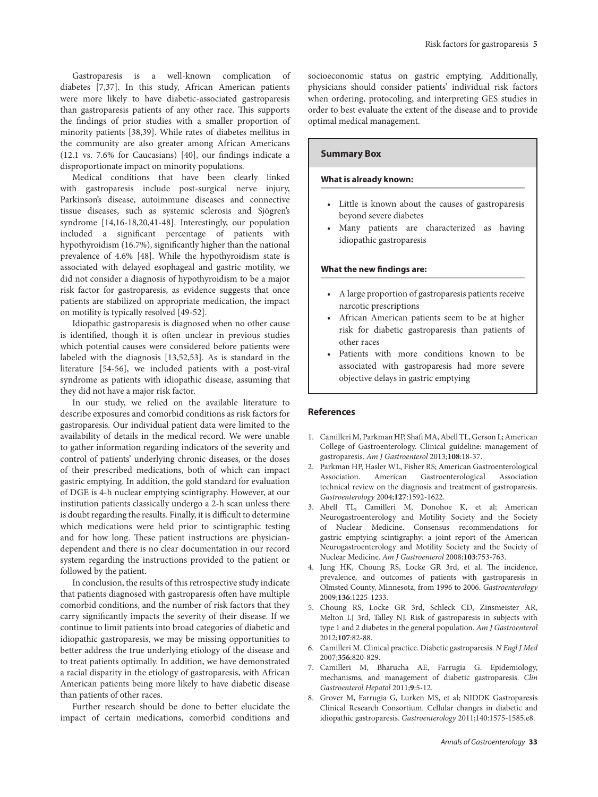Gastroparesis is a well-known complication of diabetes [7,37]. In this study, African American patients were more likely to have diabetic-associated gastroparesis than gastroparesis patients of any other race. This supports the findings of prior studies with a smaller proportion of minority patients [38,39]. While rates of diabetes mellitus in the community are also greater among African Americans (12.1 vs. 7.6% for Caucasians) [40], our findings indicate a disproportionate impact on minority populations.

Medical conditions that have been clearly linked with gastroparesis include post-surgical nerve injury, Parkinson's disease, autoimmune diseases and connective tissue diseases, such as systemic sclerosis and Sjögren's syndrome [14,16-18,20,41-48]. Interestingly, our population included a significant percentage of patients with hypothyroidism (16.7%), significantly higher than the national prevalence of 4.6% [48]. While the hypothyroidism state is associated with delayed esophageal and gastric motility, we did not consider a diagnosis of hypothyroidism to be a major risk factor for gastroparesis, as evidence suggests that once patients are stabilized on appropriate medication, the impact on motility is typically resolved [49-52].

Idiopathic gastroparesis is diagnosed when no other cause is identified, though it is often unclear in previous studies which potential causes were considered before patients were labeled with the diagnosis [13,52,53]. As is standard in the literature [54-56], we included patients with a post-viral syndrome as patients with idiopathic disease, assuming that they did not have a major risk factor.

In our study, we relied on the available literature to describe exposures and comorbid conditions as risk factors for gastroparesis. Our individual patient data were limited to the availability of details in the medical record. We were unable to gather information regarding indicators of the severity and control of patients' underlying chronic diseases, or the doses of their prescribed medications, both of which can impact gastric emptying. In addition, the gold standard for evaluation of DGE is 4-h nuclear emptying scintigraphy. However, at our institution patients classically undergo a 2-h scan unless there is doubt regarding the results. Finally, it is difficult to determine which medications were held prior to scintigraphic testing and for how long. These patient instructions are physiciandependent and there is no clear documentation in our record system regarding the instructions provided to the patient or followed by the patient.

In conclusion, the results of this retrospective study indicate that patients diagnosed with gastroparesis often have multiple comorbid conditions, and the number of risk factors that they carry significantly impacts the severity of their disease. If we continue to limit patients into broad categories of diabetic and idiopathic gastroparesis, we may be missing opportunities to better address the true underlying etiology of the disease and to treat patients optimally. In addition, we have demonstrated a racial disparity in the etiology of gastroparesis, with African American patients being more likely to have diabetic disease than patients of other races.

Further research should be done to better elucidate the impact of certain medications, comorbid conditions and socioeconomic status on gastric emptying. Additionally, physicians should consider patients' individual risk factors when ordering, protocoling, and interpreting GES studies in order to best evaluate the extent of the disease and to provide optimal medical management.

#### **Summary Box**

### **What is already known:**

- • Little is known about the causes of gastroparesis beyond severe diabetes
- • Many patients are characterized as having idiopathic gastroparesis

#### **What the new findings are:**

- • A large proportion of gastroparesis patients receive narcotic prescriptions
- African American patients seem to be at higher risk for diabetic gastroparesis than patients of other races
- • Patients with more conditions known to be associated with gastroparesis had more severe objective delays in gastric emptying

#### **References**

- 1. Camilleri M, Parkman HP, Shafi MA, Abell TL, Gerson L; American College of Gastroenterology. Clinical guideline: management of gastroparesis. *Am J Gastroenterol* 2013;**108**:18-37.
- 2. Parkman HP, Hasler WL, Fisher RS; American Gastroenterological Association. American Gastroenterological Association technical review on the diagnosis and treatment of gastroparesis. *Gastroenterology* 2004;**127**:1592-1622.
- 3. Abell TL, Camilleri M, Donohoe K, et al; American Neurogastroenterology and Motility Society and the Society of Nuclear Medicine. Consensus recommendations for gastric emptying scintigraphy: a joint report of the American Neurogastroenterology and Motility Society and the Society of Nuclear Medicine. *Am J Gastroenterol* 2008;**103**:753-763.
- 4. Jung HK, Choung RS, Locke GR 3rd, et al. The incidence, prevalence, and outcomes of patients with gastroparesis in Olmsted County, Minnesota, from 1996 to 2006. *Gastroenterology* 2009;**136**:1225-1233.
- 5. Choung RS, Locke GR 3rd, Schleck CD, Zinsmeister AR, Melton LJ 3rd, Talley NJ. Risk of gastroparesis in subjects with type 1 and 2 diabetes in the general population. *Am J Gastroenterol* 2012;**107**:82-88.
- 6. Camilleri M. Clinical practice. Diabetic gastroparesis. *N Engl J Med* 2007;**356**:820-829.
- 7. Camilleri M, Bharucha AE, Farrugia G. Epidemiology, mechanisms, and management of diabetic gastroparesis. *Clin Gastroenterol Hepatol* 2011;**9**:5-12.
- 8. Grover M, Farrugia G, Lurken MS, et al; NIDDK Gastroparesis Clinical Research Consortium. Cellular changes in diabetic and idiopathic gastroparesis. *Gastroenterology* 2011;140:1575-1585.e8.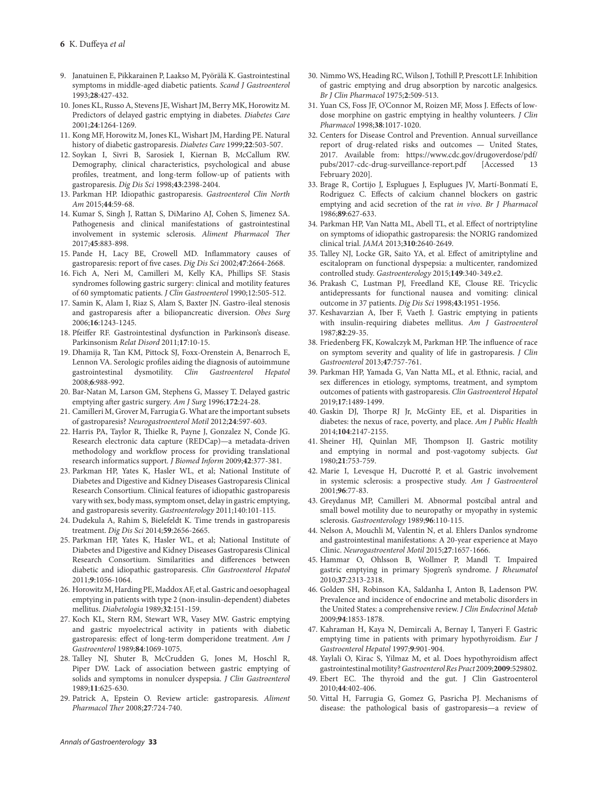- 9. Janatuinen E, Pikkarainen P, Laakso M, Pyörälä K. Gastrointestinal symptoms in middle-aged diabetic patients. *Scand J Gastroenterol*  1993;**28**:427-432.
- 10. Jones KL, Russo A, Stevens JE, Wishart JM, Berry MK, Horowitz M. Predictors of delayed gastric emptying in diabetes. *Diabetes Care* 2001;**24**:1264-1269.
- 11. Kong MF, Horowitz M, Jones KL, Wishart JM, Harding PE. Natural history of diabetic gastroparesis. *Diabetes Care* 1999;**22**:503-507.
- 12. Soykan I, Sivri B, Sarosiek I, Kiernan B, McCallum RW. Demography, clinical characteristics, psychological and abuse profiles, treatment, and long-term follow-up of patients with gastroparesis. *Dig Dis Sci* 1998;**43**:2398-2404.
- 13. Parkman HP. Idiopathic gastroparesis. *Gastroenterol Clin North Am* 2015;**44**:59-68.
- 14. Kumar S, Singh J, Rattan S, DiMarino AJ, Cohen S, Jimenez SA. Pathogenesis and clinical manifestations of gastrointestinal involvement in systemic sclerosis. *Aliment Pharmacol Ther*  2017;**45**:883-898.
- 15. Pande H, Lacy BE, Crowell MD. Inflammatory causes of gastroparesis: report of five cases. *Dig Dis Sci* 2002;**47**:2664-2668.
- 16. Fich A, Neri M, Camilleri M, Kelly KA, Phillips SF. Stasis syndromes following gastric surgery: clinical and motility features of 60 symptomatic patients. *J Clin Gastroenterol* 1990;12:505-512.
- 17. Samin K, Alam I, Riaz S, Alam S, Baxter JN. Gastro-ileal stenosis and gastroparesis after a biliopancreatic diversion. *Obes Surg*  2006;**16**:1243-1245.
- 18. Pfeiffer RF. Gastrointestinal dysfunction in Parkinson's disease. Parkinsonism *Relat Disord* 2011;**17**:10-15.
- 19. Dhamija R, Tan KM, Pittock SJ, Foxx-Orenstein A, Benarroch E, Lennon VA. Serologic profiles aiding the diagnosis of autoimmune gastrointestinal dysmotility.  $Clin$  Gastroenterol Hepatol dysmotility. *Clin Gastroenterol Hepatol* 2008;**6**:988-992.
- 20. Bar-Natan M, Larson GM, Stephens G, Massey T. Delayed gastric emptying after gastric surgery. *Am J Surg* 1996;**172**:24-28.
- 21. Camilleri M, Grover M, Farrugia G. What are the important subsets of gastroparesis? *Neurogastroenterol Motil* 2012;**24**:597-603.
- 22. Harris PA, Taylor R, Thielke R, Payne J, Gonzalez N, Conde JG. Research electronic data capture (REDCap)—a metadata-driven methodology and workflow process for providing translational research informatics support. *J Biomed Inform* 2009;**42**:377-381.
- 23. Parkman HP, Yates K, Hasler WL, et al; National Institute of Diabetes and Digestive and Kidney Diseases Gastroparesis Clinical Research Consortium. Clinical features of idiopathic gastroparesis vary with sex, body mass, symptom onset, delay in gastric emptying, and gastroparesis severity. *Gastroenterology* 2011;140:101-115.
- 24. Dudekula A, Rahim S, Bielefeldt K. Time trends in gastroparesis treatment. *Dig Dis Sci* 2014;**59**:2656-2665.
- 25. Parkman HP, Yates K, Hasler WL, et al; National Institute of Diabetes and Digestive and Kidney Diseases Gastroparesis Clinical Research Consortium. Similarities and differences between diabetic and idiopathic gastroparesis. *Clin Gastroenterol Hepatol*  2011;**9**:1056-1064.
- 26. Horowitz M, Harding PE, Maddox AF, et al. Gastric and oesophageal emptying in patients with type 2 (non-insulin-dependent) diabetes mellitus. *Diabetologia* 1989;**32**:151-159.
- 27. Koch KL, Stern RM, Stewart WR, Vasey MW. Gastric emptying and gastric myoelectrical activity in patients with diabetic gastroparesis: effect of long-term domperidone treatment. *Am J Gastroenterol* 1989;**84**:1069-1075.
- 28. Talley NJ, Shuter B, McCrudden G, Jones M, Hoschl R, Piper DW. Lack of association between gastric emptying of solids and symptoms in nonulcer dyspepsia. *J Clin Gastroenterol*  1989;**11**:625-630.
- 29. Patrick A, Epstein O. Review article: gastroparesis. *Aliment Pharmacol Ther* 2008;**27**:724-740.
- 30. Nimmo WS, Heading RC, Wilson J, Tothill P, Prescott LF. Inhibition of gastric emptying and drug absorption by narcotic analgesics. *Br J Clin Pharmacol* 1975;**2**:509-513.
- 31. Yuan CS, Foss JF, O'Connor M, Roizen MF, Moss J. Effects of lowdose morphine on gastric emptying in healthy volunteers. *J Clin Pharmacol* 1998;**38**:1017-1020.
- 32. Centers for Disease Control and Prevention. Annual surveillance report of drug-related risks and outcomes — United States, 2017. Available from: https://www.cdc.gov/drugoverdose/pdf/ pubs/2017-cdc-drug-surveillance-report.pdf [Accessed 13 February 2020].
- 33. Brage R, Cortijo J, Esplugues J, Esplugues JV, Martí-Bonmatí E, Rodriguez C. Effects of calcium channel blockers on gastric emptying and acid secretion of the rat *in vivo*. *Br J Pharmacol* 1986;**89**:627-633.
- 34. Parkman HP, Van Natta ML, Abell TL, et al. Effect of nortriptyline on symptoms of idiopathic gastroparesis: the NORIG randomized clinical trial. *JAMA* 2013;**310**:2640-2649.
- 35. Talley NJ, Locke GR, Saito YA, et al. Effect of amitriptyline and escitalopram on functional dyspepsia: a multicenter, randomized controlled study. *Gastroenterology* 2015;**149**:340-349.e2.
- 36. Prakash C, Lustman PJ, Freedland KE, Clouse RE. Tricyclic antidepressants for functional nausea and vomiting: clinical outcome in 37 patients. *Dig Dis Sci* 1998;**43**:1951-1956.
- 37. Keshavarzian A, Iber F, Vaeth J. Gastric emptying in patients with insulin-requiring diabetes mellitus. *Am J Gastroenterol*  1987;**82**:29-35.
- 38. Friedenberg FK, Kowalczyk M, Parkman HP. The influence of race on symptom severity and quality of life in gastroparesis. *J Clin Gastroenterol* 2013;**47**:757-761.
- 39. Parkman HP, Yamada G, Van Natta ML, et al. Ethnic, racial, and sex differences in etiology, symptoms, treatment, and symptom outcomes of patients with gastroparesis. *Clin Gastroenterol Hepatol* 2019;**17**:1489-1499.
- 40. Gaskin DJ, Thorpe RJ Jr, McGinty EE, et al. Disparities in diabetes: the nexus of race, poverty, and place. *Am J Public Health*  2014;**104**:2147-2155.
- 41. Sheiner HJ, Quinlan MF, Thompson IJ. Gastric motility and emptying in normal and post-vagotomy subjects. *Gut* 1980;**21**:753-759.
- 42. Marie I, Levesque H, Ducrotté P, et al. Gastric involvement in systemic sclerosis: a prospective study. *Am J Gastroenterol*  2001;**96**:77-83.
- 43. Greydanus MP, Camilleri M. Abnormal postcibal antral and small bowel motility due to neuropathy or myopathy in systemic sclerosis. *Gastroenterology* 1989;**96**:110-115.
- 44. Nelson A, Mouchli M, Valentin N, et al. Ehlers Danlos syndrome and gastrointestinal manifestations: A 20-year experience at Mayo Clinic. *Neurogastroenterol Motil* 2015;**27**:1657-1666.
- 45. Hammar O, Ohlsson B, Wollmer P, Mandl T. Impaired gastric emptying in primary Sjogren's syndrome. *J Rheumatol*  2010;**37**:2313-2318.
- 46. Golden SH, Robinson KA, Saldanha I, Anton B, Ladenson PW. Prevalence and incidence of endocrine and metabolic disorders in the United States: a comprehensive review. *J Clin Endocrinol Metab* 2009;**94**:1853-1878.
- 47. Kahraman H, Kaya N, Demircali A, Bernay I, Tanyeri F. Gastric emptying time in patients with primary hypothyroidism. *Eur J Gastroenterol Hepatol* 1997;**9**:901-904.
- 48. Yaylali O, Kirac S, Yilmaz M, et al. Does hypothyroidism affect gastrointestinal motility? *Gastroenterol Res Pract* 2009;**2009**:529802.
- 49. Ebert EC. The thyroid and the gut. J Clin Gastroenterol 2010;**44**:402-406.
- 50. Vittal H, Farrugia G, Gomez G, Pasricha PJ. Mechanisms of disease: the pathological basis of gastroparesis—a review of